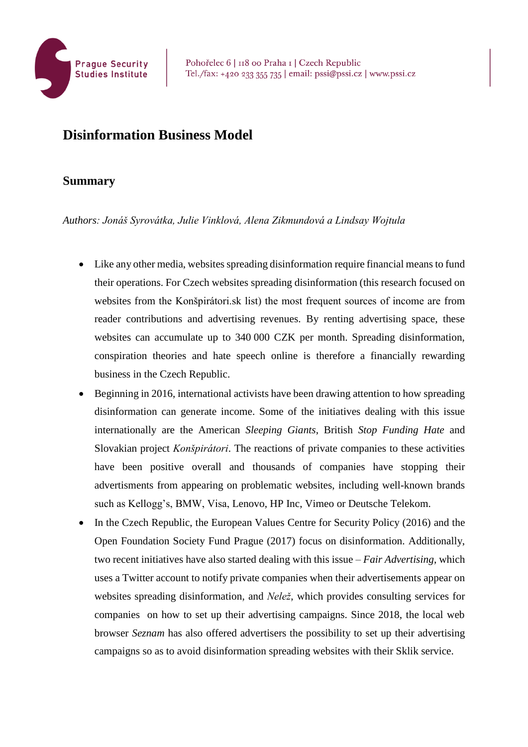

## **Disinformation Business Model**

## **Summary**

*Authors: Jonáš Syrovátka, Julie Vinklová, Alena Zikmundová a Lindsay Wojtula* 

- Like any other media, websites spreading disinformation require financial means to fund their operations. For Czech websites spreading disinformation (this research focused on websites from the Konšpirátori.sk list) the most frequent sources of income are from reader contributions and advertising revenues. By renting advertising space, these websites can accumulate up to 340 000 CZK per month. Spreading disinformation, conspiration theories and hate speech online is therefore a financially rewarding business in the Czech Republic.
- Beginning in 2016, international activists have been drawing attention to how spreading disinformation can generate income. Some of the initiatives dealing with this issue internationally are the American *Sleeping Giants*, British *Stop Funding Hate* and Slovakian project *Konšpirátori*. The reactions of private companies to these activities have been positive overall and thousands of companies have stopping their advertisments from appearing on problematic websites, including well-known brands such as Kellogg's, BMW, Visa, Lenovo, HP Inc, Vimeo or Deutsche Telekom.
- In the Czech Republic, the European Values Centre for Security Policy (2016) and the Open Foundation Society Fund Prague (2017) focus on disinformation. Additionally, two recent initiatives have also started dealing with this issue – *Fair Advertising*, which uses a Twitter account to notify private companies when their advertisements appear on websites spreading disinformation, and *Nelež*, which provides consulting services for companies on how to set up their advertising campaigns. Since 2018, the local web browser *Seznam* has also offered advertisers the possibility to set up their advertising campaigns so as to avoid disinformation spreading websites with their Sklik service.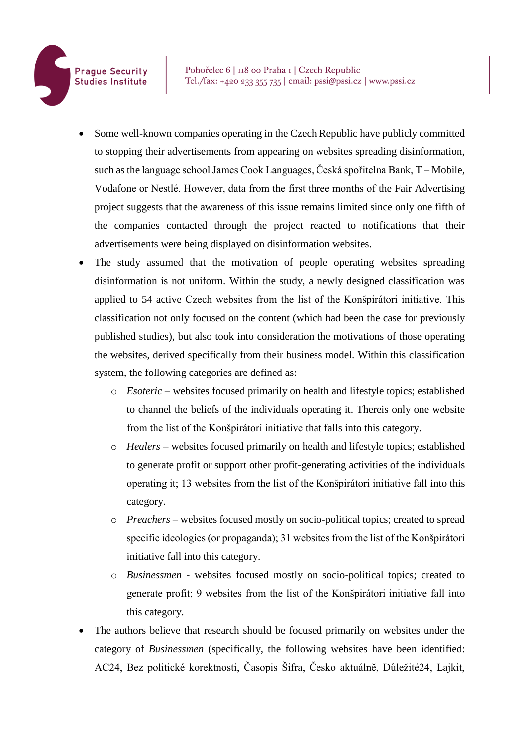- Some well-known companies operating in the Czech Republic have publicly committed to stopping their advertisements from appearing on websites spreading disinformation, such asthe language school James Cook Languages, Česká spořitelna Bank, T – Mobile, Vodafone or Nestlé. However, data from the first three months of the Fair Advertising project suggests that the awareness of this issue remains limited since only one fifth of the companies contacted through the project reacted to notifications that their advertisements were being displayed on disinformation websites.
- The study assumed that the motivation of people operating websites spreading disinformation is not uniform. Within the study, a newly designed classification was applied to 54 active Czech websites from the list of the Konšpirátori initiative. This classification not only focused on the content (which had been the case for previously published studies), but also took into consideration the motivations of those operating the websites, derived specifically from their business model. Within this classification system, the following categories are defined as:
	- o *Esoteric* websites focused primarily on health and lifestyle topics; established to channel the beliefs of the individuals operating it. Thereis only one website from the list of the Konšpirátori initiative that falls into this category.
	- o *Healers*  websites focused primarily on health and lifestyle topics; established to generate profit or support other profit-generating activities of the individuals operating it; 13 websites from the list of the Konšpirátori initiative fall into this category.
	- o *Preachers*  websites focused mostly on socio-political topics; created to spread specific ideologies (or propaganda); 31 websites from the list of the Konšpirátori initiative fall into this category.
	- o *Businessmen* websites focused mostly on socio-political topics; created to generate profit; 9 websites from the list of the Konšpirátori initiative fall into this category.
- The authors believe that research should be focused primarily on websites under the category of *Businessmen* (specifically, the following websites have been identified: AC24, Bez politické korektnosti, Časopis Šifra, Česko aktuálně, Důležité24, Lajkit,